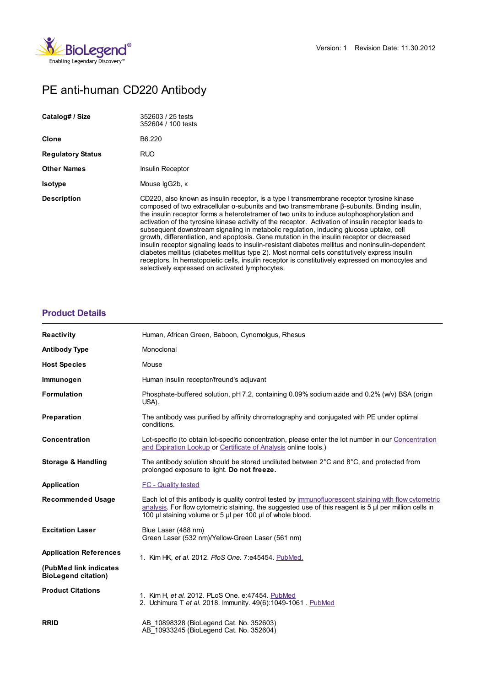

# PE anti-human CD220 Antibody

| Catalog# / Size          | 352603 / 25 tests<br>352604 / 100 tests                                                                                                                                                                                                                                                                                                                                                                                                                                                                                                                                                                                                                                                                                                                                                                                                                                                                                                            |
|--------------------------|----------------------------------------------------------------------------------------------------------------------------------------------------------------------------------------------------------------------------------------------------------------------------------------------------------------------------------------------------------------------------------------------------------------------------------------------------------------------------------------------------------------------------------------------------------------------------------------------------------------------------------------------------------------------------------------------------------------------------------------------------------------------------------------------------------------------------------------------------------------------------------------------------------------------------------------------------|
| Clone                    | B6.220                                                                                                                                                                                                                                                                                                                                                                                                                                                                                                                                                                                                                                                                                                                                                                                                                                                                                                                                             |
| <b>Regulatory Status</b> | RUO.                                                                                                                                                                                                                                                                                                                                                                                                                                                                                                                                                                                                                                                                                                                                                                                                                                                                                                                                               |
| <b>Other Names</b>       | Insulin Receptor                                                                                                                                                                                                                                                                                                                                                                                                                                                                                                                                                                                                                                                                                                                                                                                                                                                                                                                                   |
| <b>Isotype</b>           | Mouse lgG2b, к                                                                                                                                                                                                                                                                                                                                                                                                                                                                                                                                                                                                                                                                                                                                                                                                                                                                                                                                     |
| <b>Description</b>       | CD220, also known as insulin receptor, is a type I transmembrane receptor tyrosine kinase<br>composed of two extracellular α-subunits and two transmembrane β-subunits. Binding insulin,<br>the insulin receptor forms a heterotetramer of two units to induce autophosphorylation and<br>activation of the tyrosine kinase activity of the receptor. Activation of insulin receptor leads to<br>subsequent downstream signaling in metabolic regulation, inducing glucose uptake, cell<br>growth, differentiation, and apoptosis. Gene mutation in the insulin receptor or decreased<br>insulin receptor signaling leads to insulin-resistant diabetes mellitus and noninsulin-dependent<br>diabetes mellitus (diabetes mellitus type 2). Most normal cells constitutively express insulin<br>receptors. In hematopoietic cells, insulin receptor is constitutively expressed on monocytes and<br>selectively expressed on activated lymphocytes. |

## **[Product](https://production-dynamicweb.biolegend.com/de-at/products/pe-anti-human-cd220-antibody-7438?pdf=true&displayInline=true&leftRightMargin=15&topBottomMargin=15&filename=PE anti-human CD220 Antibody.pdf#productDetails) Details**

| <b>Reactivity</b>                                    | Human, African Green, Baboon, Cynomolgus, Rhesus                                                                                                                                                                                                                              |
|------------------------------------------------------|-------------------------------------------------------------------------------------------------------------------------------------------------------------------------------------------------------------------------------------------------------------------------------|
| <b>Antibody Type</b>                                 | Monoclonal                                                                                                                                                                                                                                                                    |
| <b>Host Species</b>                                  | Mouse                                                                                                                                                                                                                                                                         |
| Immunogen                                            | Human insulin receptor/freund's adjuvant                                                                                                                                                                                                                                      |
| <b>Formulation</b>                                   | Phosphate-buffered solution, pH 7.2, containing 0.09% sodium azide and 0.2% (w/v) BSA (origin<br>USA).                                                                                                                                                                        |
| Preparation                                          | The antibody was purified by affinity chromatography and conjugated with PE under optimal<br>conditions.                                                                                                                                                                      |
| <b>Concentration</b>                                 | Lot-specific (to obtain lot-specific concentration, please enter the lot number in our Concentration<br>and Expiration Lookup or Certificate of Analysis online tools.)                                                                                                       |
| Storage & Handling                                   | The antibody solution should be stored undiluted between $2^{\circ}$ C and $8^{\circ}$ C, and protected from<br>prolonged exposure to light. Do not freeze.                                                                                                                   |
| Application                                          | <b>FC</b> - Quality tested                                                                                                                                                                                                                                                    |
| <b>Recommended Usage</b>                             | Each lot of this antibody is quality control tested by immunofluorescent staining with flow cytometric<br>analysis. For flow cytometric staining, the suggested use of this reagent is 5 µl per million cells in<br>100 µl staining volume or 5 µl per 100 µl of whole blood. |
| <b>Excitation Laser</b>                              | Blue Laser (488 nm)<br>Green Laser (532 nm)/Yellow-Green Laser (561 nm)                                                                                                                                                                                                       |
| <b>Application References</b>                        | 1. Kim HK, et al. 2012. PloS One. 7:e45454. PubMed.                                                                                                                                                                                                                           |
| (PubMed link indicates<br><b>BioLegend citation)</b> |                                                                                                                                                                                                                                                                               |
| <b>Product Citations</b>                             | 1. Kim H, et al. 2012. PLoS One. e:47454. PubMed<br>2. Uchimura T et al. 2018. Immunity. 49(6):1049-1061. PubMed                                                                                                                                                              |
| <b>RRID</b>                                          | AB 10898328 (BioLegend Cat. No. 352603)<br>AB 10933245 (BioLegend Cat. No. 352604)                                                                                                                                                                                            |